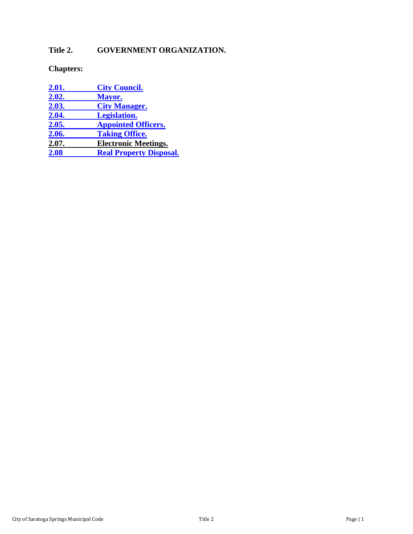# Title 2. GOVERNMENT ORGANIZATION.

# **Chapters:**

| <u>2.01.</u> | <b>City Council.</b>           |
|--------------|--------------------------------|
| 2.02.        | Mayor.                         |
| 2.03.        | <b>City Manager.</b>           |
| 2.04.        | <b>Legislation.</b>            |
| 2.05.        | <b>Appointed Officers.</b>     |
| 2.06.        | <b>Taking Office.</b>          |
| 2.07.        | <b>Electronic Meetings.</b>    |
| 2.08         | <b>Real Property Disposal.</b> |
|              |                                |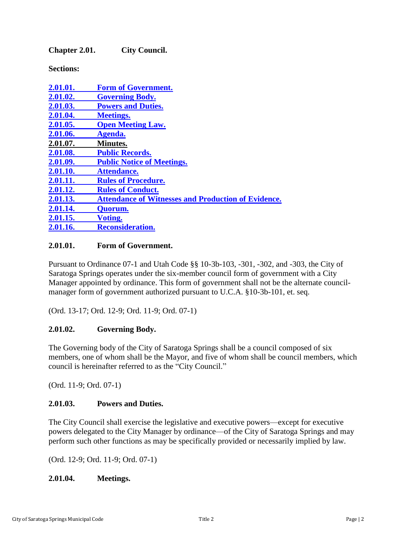<span id="page-1-0"></span>**Chapter 2.01. City Council.**

**Sections:**

| 2.01.01. | <b>Form of Government.</b>                                 |
|----------|------------------------------------------------------------|
| 2.01.02. | <b>Governing Body.</b>                                     |
| 2.01.03. | <b>Powers and Duties.</b>                                  |
| 2.01.04. | <b>Meetings.</b>                                           |
| 2.01.05. | <b>Open Meeting Law.</b>                                   |
| 2.01.06. | Agenda.                                                    |
| 2.01.07. | <b>Minutes.</b>                                            |
| 2.01.08. | <b>Public Records.</b>                                     |
| 2.01.09. | <b>Public Notice of Meetings.</b>                          |
| 2.01.10. | <b>Attendance.</b>                                         |
| 2.01.11. | <b>Rules of Procedure.</b>                                 |
| 2.01.12. | <b>Rules of Conduct.</b>                                   |
| 2.01.13. | <b>Attendance of Witnesses and Production of Evidence.</b> |
| 2.01.14. | Quorum.                                                    |
| 2.01.15. | <b>Voting.</b>                                             |
| 2.01.16. | <b>Reconsideration.</b>                                    |

#### <span id="page-1-1"></span>**2.01.01. Form of Government.**

Pursuant to Ordinance 07-1 and Utah Code §§ 10-3b-103, -301, -302, and -303, the City of Saratoga Springs operates under the six-member council form of government with a City Manager appointed by ordinance. This form of government shall not be the alternate councilmanager form of government authorized pursuant to U.C.A. §10-3b-101, et. seq.

(Ord. 13-17; Ord. 12-9; Ord. 11-9; Ord. 07-1)

## <span id="page-1-2"></span>**2.01.02. Governing Body.**

The Governing body of the City of Saratoga Springs shall be a council composed of six members, one of whom shall be the Mayor, and five of whom shall be council members, which council is hereinafter referred to as the "City Council."

(Ord. 11-9; Ord. 07-1)

## <span id="page-1-3"></span>**2.01.03. Powers and Duties.**

The City Council shall exercise the legislative and executive powers—except for executive powers delegated to the City Manager by ordinance—of the City of Saratoga Springs and may perform such other functions as may be specifically provided or necessarily implied by law.

(Ord. 12-9; Ord. 11-9; Ord. 07-1)

## <span id="page-1-4"></span>**2.01.04. Meetings.**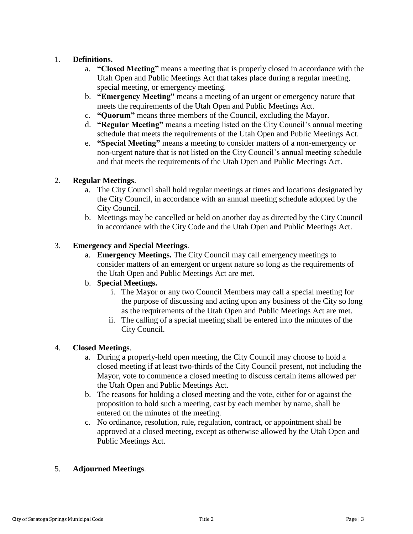# 1. **Definitions.**

- a. **"Closed Meeting"** means a meeting that is properly closed in accordance with the Utah Open and Public Meetings Act that takes place during a regular meeting, special meeting, or emergency meeting.
- b. **"Emergency Meeting"** means a meeting of an urgent or emergency nature that meets the requirements of the Utah Open and Public Meetings Act.
- c. **"Quorum"** means three members of the Council, excluding the Mayor.
- d. **"Regular Meeting"** means a meeting listed on the City Council's annual meeting schedule that meets the requirements of the Utah Open and Public Meetings Act.
- e. **"Special Meeting"** means a meeting to consider matters of a non-emergency or non-urgent nature that is not listed on the City Council's annual meeting schedule and that meets the requirements of the Utah Open and Public Meetings Act.

## 2. **Regular Meetings**.

- a. The City Council shall hold regular meetings at times and locations designated by the City Council, in accordance with an annual meeting schedule adopted by the City Council.
- b. Meetings may be cancelled or held on another day as directed by the City Council in accordance with the City Code and the Utah Open and Public Meetings Act.

## 3. **Emergency and Special Meetings**.

a. **Emergency Meetings.** The City Council may call emergency meetings to consider matters of an emergent or urgent nature so long as the requirements of the Utah Open and Public Meetings Act are met.

## b. **Special Meetings.**

- i. The Mayor or any two Council Members may call a special meeting for the purpose of discussing and acting upon any business of the City so long as the requirements of the Utah Open and Public Meetings Act are met.
- ii. The calling of a special meeting shall be entered into the minutes of the City Council.

## 4. **Closed Meetings**.

- a. During a properly-held open meeting, the City Council may choose to hold a closed meeting if at least two-thirds of the City Council present, not including the Mayor, vote to commence a closed meeting to discuss certain items allowed per the Utah Open and Public Meetings Act.
- b. The reasons for holding a closed meeting and the vote, either for or against the proposition to hold such a meeting, cast by each member by name, shall be entered on the minutes of the meeting.
- c. No ordinance, resolution, rule, regulation, contract, or appointment shall be approved at a closed meeting, except as otherwise allowed by the Utah Open and Public Meetings Act.

## 5. **Adjourned Meetings**.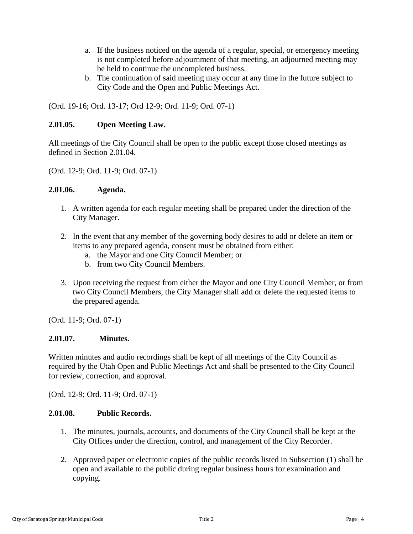- a. If the business noticed on the agenda of a regular, special, or emergency meeting is not completed before adjournment of that meeting, an adjourned meeting may be held to continue the uncompleted business.
- b. The continuation of said meeting may occur at any time in the future subject to City Code and the Open and Public Meetings Act.

(Ord. 19-16; Ord. 13-17; Ord 12-9; Ord. 11-9; Ord. 07-1)

### <span id="page-3-0"></span>**2.01.05. Open Meeting Law.**

All meetings of the City Council shall be open to the public except those closed meetings as defined in Section 2.01.04.

(Ord. 12-9; Ord. 11-9; Ord. 07-1)

#### <span id="page-3-1"></span>**2.01.06. Agenda.**

- 1. A written agenda for each regular meeting shall be prepared under the direction of the City Manager.
- 2. In the event that any member of the governing body desires to add or delete an item or items to any prepared agenda, consent must be obtained from either:
	- a. the Mayor and one City Council Member; or
	- b. from two City Council Members.
- 3. Upon receiving the request from either the Mayor and one City Council Member, or from two City Council Members, the City Manager shall add or delete the requested items to the prepared agenda.

(Ord. 11-9; Ord. 07-1)

#### <span id="page-3-2"></span>**2.01.07. Minutes.**

Written minutes and audio recordings shall be kept of all meetings of the City Council as required by the Utah Open and Public Meetings Act and shall be presented to the City Council for review, correction, and approval.

(Ord. 12-9; Ord. 11-9; Ord. 07-1)

### <span id="page-3-3"></span>**2.01.08. Public Records.**

- 1. The minutes, journals, accounts, and documents of the City Council shall be kept at the City Offices under the direction, control, and management of the City Recorder.
- 2. Approved paper or electronic copies of the public records listed in Subsection (1) shall be open and available to the public during regular business hours for examination and copying.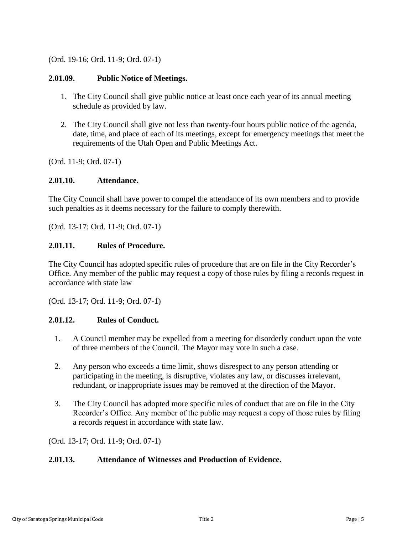## (Ord. 19-16; Ord. 11-9; Ord. 07-1)

### <span id="page-4-0"></span>**2.01.09. Public Notice of Meetings.**

- 1. The City Council shall give public notice at least once each year of its annual meeting schedule as provided by law.
- 2. The City Council shall give not less than twenty-four hours public notice of the agenda, date, time, and place of each of its meetings, except for emergency meetings that meet the requirements of the Utah Open and Public Meetings Act.

(Ord. 11-9; Ord. 07-1)

#### <span id="page-4-1"></span>**2.01.10. Attendance.**

The City Council shall have power to compel the attendance of its own members and to provide such penalties as it deems necessary for the failure to comply therewith.

(Ord. 13-17; Ord. 11-9; Ord. 07-1)

### <span id="page-4-2"></span>**2.01.11. Rules of Procedure.**

The City Council has adopted specific rules of procedure that are on file in the City Recorder's Office. Any member of the public may request a copy of those rules by filing a records request in accordance with state law

(Ord. 13-17; Ord. 11-9; Ord. 07-1)

#### <span id="page-4-3"></span>**2.01.12. Rules of Conduct.**

- 1. A Council member may be expelled from a meeting for disorderly conduct upon the vote of three members of the Council. The Mayor may vote in such a case.
- 2. Any person who exceeds a time limit, shows disrespect to any person attending or participating in the meeting, is disruptive, violates any law, or discusses irrelevant, redundant, or inappropriate issues may be removed at the direction of the Mayor.
- 3. The City Council has adopted more specific rules of conduct that are on file in the City Recorder's Office. Any member of the public may request a copy of those rules by filing a records request in accordance with state law.

(Ord. 13-17; Ord. 11-9; Ord. 07-1)

#### <span id="page-4-4"></span>**2.01.13. Attendance of Witnesses and Production of Evidence.**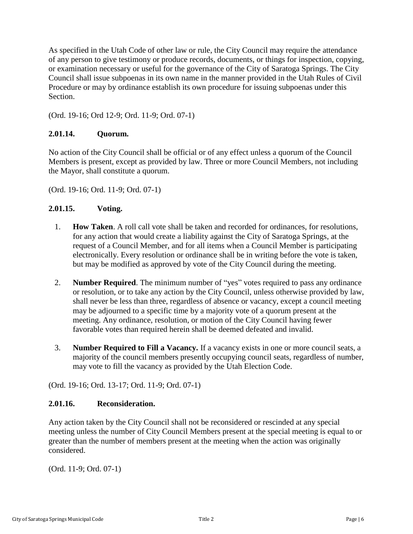As specified in the Utah Code of other law or rule, the City Council may require the attendance of any person to give testimony or produce records, documents, or things for inspection, copying, or examination necessary or useful for the governance of the City of Saratoga Springs. The City Council shall issue subpoenas in its own name in the manner provided in the Utah Rules of Civil Procedure or may by ordinance establish its own procedure for issuing subpoenas under this Section.

(Ord. 19-16; Ord 12-9; Ord. 11-9; Ord. 07-1)

# <span id="page-5-0"></span>**2.01.14. Quorum.**

No action of the City Council shall be official or of any effect unless a quorum of the Council Members is present, except as provided by law. Three or more Council Members, not including the Mayor, shall constitute a quorum.

(Ord. 19-16; Ord. 11-9; Ord. 07-1)

### <span id="page-5-1"></span>**2.01.15. Voting.**

- 1. **How Taken**. A roll call vote shall be taken and recorded for ordinances, for resolutions, for any action that would create a liability against the City of Saratoga Springs, at the request of a Council Member, and for all items when a Council Member is participating electronically. Every resolution or ordinance shall be in writing before the vote is taken, but may be modified as approved by vote of the City Council during the meeting.
- 2. **Number Required**. The minimum number of "yes" votes required to pass any ordinance or resolution, or to take any action by the City Council, unless otherwise provided by law, shall never be less than three, regardless of absence or vacancy, except a council meeting may be adjourned to a specific time by a majority vote of a quorum present at the meeting. Any ordinance, resolution, or motion of the City Council having fewer favorable votes than required herein shall be deemed defeated and invalid.
- 3. **Number Required to Fill a Vacancy.** If a vacancy exists in one or more council seats, a majority of the council members presently occupying council seats, regardless of number, may vote to fill the vacancy as provided by the Utah Election Code.

(Ord. 19-16; Ord. 13-17; Ord. 11-9; Ord. 07-1)

## <span id="page-5-2"></span>**2.01.16. Reconsideration.**

Any action taken by the City Council shall not be reconsidered or rescinded at any special meeting unless the number of City Council Members present at the special meeting is equal to or greater than the number of members present at the meeting when the action was originally considered.

(Ord. 11-9; Ord. 07-1)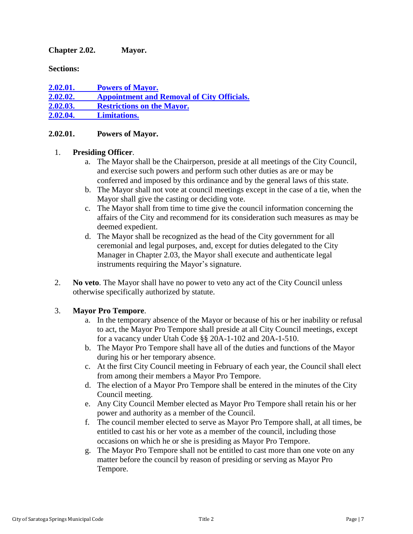<span id="page-6-0"></span>**Chapter 2.02. Mayor.**

**Sections:**

**2.02.01. [Powers of Mayor.](#page-6-1) 2.02.02. [Appointment and Removal of City Officials.](#page-7-0) 2.02.03. [Restrictions on the Mayor.](#page-7-1) 2.02.04. [Limitations.](#page-7-2)**

### <span id="page-6-1"></span>**2.02.01. Powers of Mayor.**

### 1. **Presiding Officer**.

- a. The Mayor shall be the Chairperson, preside at all meetings of the City Council, and exercise such powers and perform such other duties as are or may be conferred and imposed by this ordinance and by the general laws of this state.
- b. The Mayor shall not vote at council meetings except in the case of a tie, when the Mayor shall give the casting or deciding vote.
- c. The Mayor shall from time to time give the council information concerning the affairs of the City and recommend for its consideration such measures as may be deemed expedient.
- d. The Mayor shall be recognized as the head of the City government for all ceremonial and legal purposes, and, except for duties delegated to the City Manager in Chapter 2.03, the Mayor shall execute and authenticate legal instruments requiring the Mayor's signature.
- 2. **No veto**. The Mayor shall have no power to veto any act of the City Council unless otherwise specifically authorized by statute.

## 3. **Mayor Pro Tempore**.

- a. In the temporary absence of the Mayor or because of his or her inability or refusal to act, the Mayor Pro Tempore shall preside at all City Council meetings, except for a vacancy under Utah Code §§ 20A-1-102 and 20A-1-510.
- b. The Mayor Pro Tempore shall have all of the duties and functions of the Mayor during his or her temporary absence.
- c. At the first City Council meeting in February of each year, the Council shall elect from among their members a Mayor Pro Tempore.
- d. The election of a Mayor Pro Tempore shall be entered in the minutes of the City Council meeting.
- e. Any City Council Member elected as Mayor Pro Tempore shall retain his or her power and authority as a member of the Council.
- f. The council member elected to serve as Mayor Pro Tempore shall, at all times, be entitled to cast his or her vote as a member of the council, including those occasions on which he or she is presiding as Mayor Pro Tempore.
- g. The Mayor Pro Tempore shall not be entitled to cast more than one vote on any matter before the council by reason of presiding or serving as Mayor Pro Tempore.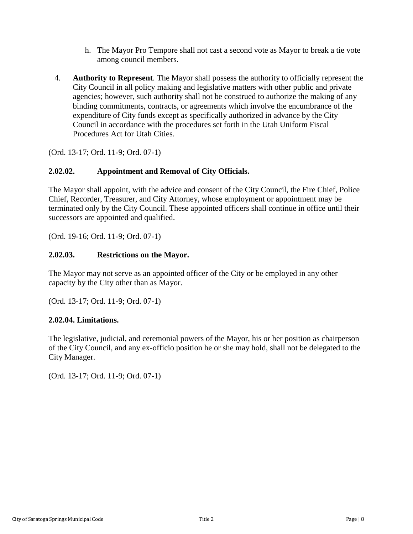- h. The Mayor Pro Tempore shall not cast a second vote as Mayor to break a tie vote among council members.
- 4. **Authority to Represent**. The Mayor shall possess the authority to officially represent the City Council in all policy making and legislative matters with other public and private agencies; however, such authority shall not be construed to authorize the making of any binding commitments, contracts, or agreements which involve the encumbrance of the expenditure of City funds except as specifically authorized in advance by the City Council in accordance with the procedures set forth in the Utah Uniform Fiscal Procedures Act for Utah Cities.

(Ord. 13-17; Ord. 11-9; Ord. 07-1)

### <span id="page-7-0"></span>**2.02.02. Appointment and Removal of City Officials.**

The Mayor shall appoint, with the advice and consent of the City Council, the Fire Chief, Police Chief, Recorder, Treasurer, and City Attorney, whose employment or appointment may be terminated only by the City Council. These appointed officers shall continue in office until their successors are appointed and qualified.

(Ord. 19-16; Ord. 11-9; Ord. 07-1)

#### <span id="page-7-1"></span>**2.02.03. Restrictions on the Mayor.**

The Mayor may not serve as an appointed officer of the City or be employed in any other capacity by the City other than as Mayor.

(Ord. 13-17; Ord. 11-9; Ord. 07-1)

#### <span id="page-7-2"></span>**2.02.04. Limitations.**

The legislative, judicial, and ceremonial powers of the Mayor, his or her position as chairperson of the City Council, and any ex-officio position he or she may hold, shall not be delegated to the City Manager.

(Ord. 13-17; Ord. 11-9; Ord. 07-1)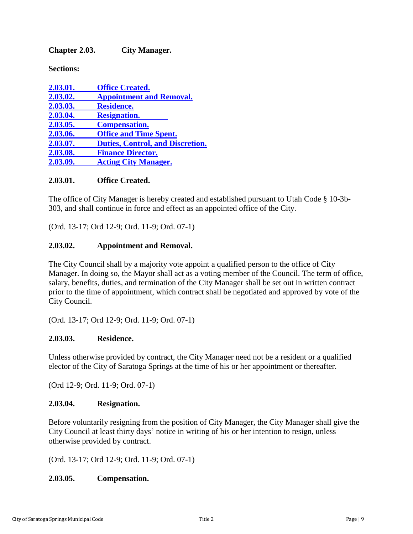<span id="page-8-0"></span>**Chapter 2.03. City Manager.**

**Sections:**

| 2.03.01. | <b>Office Created.</b>                  |
|----------|-----------------------------------------|
| 2.03.02. | <b>Appointment and Removal.</b>         |
| 2.03.03. | <b>Residence.</b>                       |
| 2.03.04. | <b>Resignation.</b>                     |
| 2.03.05. | <b>Compensation.</b>                    |
| 2.03.06. | <b>Office and Time Spent.</b>           |
| 2.03.07. | <b>Duties, Control, and Discretion.</b> |
| 2.03.08. | <b>Finance Director.</b>                |
| 2.03.09. | <b>Acting City Manager.</b>             |

### <span id="page-8-1"></span>**2.03.01. Office Created.**

The office of City Manager is hereby created and established pursuant to Utah Code § 10-3b-303, and shall continue in force and effect as an appointed office of the City.

(Ord. 13-17; Ord 12-9; Ord. 11-9; Ord. 07-1)

### <span id="page-8-2"></span>**2.03.02. Appointment and Removal.**

The City Council shall by a majority vote appoint a qualified person to the office of City Manager. In doing so, the Mayor shall act as a voting member of the Council. The term of office, salary, benefits, duties, and termination of the City Manager shall be set out in written contract prior to the time of appointment, which contract shall be negotiated and approved by vote of the City Council.

(Ord. 13-17; Ord 12-9; Ord. 11-9; Ord. 07-1)

#### <span id="page-8-3"></span>**2.03.03. Residence.**

Unless otherwise provided by contract, the City Manager need not be a resident or a qualified elector of the City of Saratoga Springs at the time of his or her appointment or thereafter.

(Ord 12-9; Ord. 11-9; Ord. 07-1)

#### <span id="page-8-4"></span>**2.03.04. Resignation.**

Before voluntarily resigning from the position of City Manager, the City Manager shall give the City Council at least thirty days' notice in writing of his or her intention to resign, unless otherwise provided by contract.

(Ord. 13-17; Ord 12-9; Ord. 11-9; Ord. 07-1)

## <span id="page-8-5"></span>**2.03.05. Compensation.**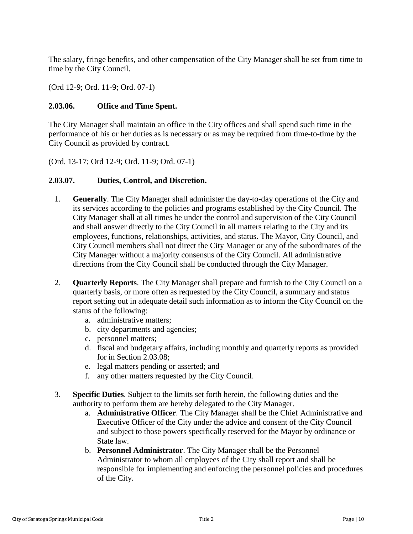The salary, fringe benefits, and other compensation of the City Manager shall be set from time to time by the City Council.

(Ord 12-9; Ord. 11-9; Ord. 07-1)

### <span id="page-9-0"></span>**2.03.06. Office and Time Spent.**

The City Manager shall maintain an office in the City offices and shall spend such time in the performance of his or her duties as is necessary or as may be required from time-to-time by the City Council as provided by contract.

(Ord. 13-17; Ord 12-9; Ord. 11-9; Ord. 07-1)

### <span id="page-9-1"></span>**2.03.07. Duties, Control, and Discretion.**

- 1. **Generally**. The City Manager shall administer the day-to-day operations of the City and its services according to the policies and programs established by the City Council. The City Manager shall at all times be under the control and supervision of the City Council and shall answer directly to the City Council in all matters relating to the City and its employees, functions, relationships, activities, and status. The Mayor, City Council, and City Council members shall not direct the City Manager or any of the subordinates of the City Manager without a majority consensus of the City Council. All administrative directions from the City Council shall be conducted through the City Manager.
- 2. **Quarterly Reports**. The City Manager shall prepare and furnish to the City Council on a quarterly basis, or more often as requested by the City Council, a summary and status report setting out in adequate detail such information as to inform the City Council on the status of the following:
	- a. administrative matters;
	- b. city departments and agencies;
	- c. personnel matters;
	- d. fiscal and budgetary affairs, including monthly and quarterly reports as provided for in Section 2.03.08;
	- e. legal matters pending or asserted; and
	- f. any other matters requested by the City Council.
- 3. **Specific Duties**. Subject to the limits set forth herein, the following duties and the authority to perform them are hereby delegated to the City Manager.
	- a. **Administrative Officer**. The City Manager shall be the Chief Administrative and Executive Officer of the City under the advice and consent of the City Council and subject to those powers specifically reserved for the Mayor by ordinance or State law.
	- b. **Personnel Administrator**. The City Manager shall be the Personnel Administrator to whom all employees of the City shall report and shall be responsible for implementing and enforcing the personnel policies and procedures of the City.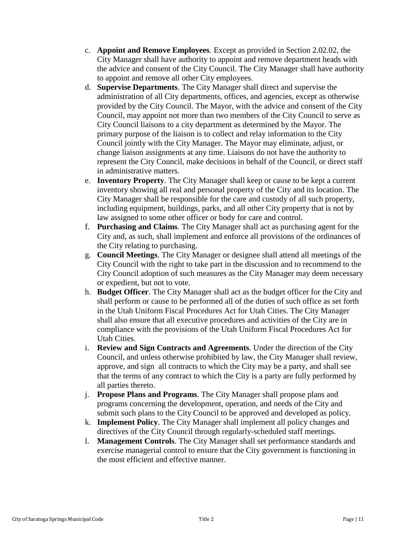- c. **Appoint and Remove Employees**. Except as provided in Section 2.02.02, the City Manager shall have authority to appoint and remove department heads with the advice and consent of the City Council. The City Manager shall have authority to appoint and remove all other City employees.
- d. **Supervise Departments**. The City Manager shall direct and supervise the administration of all City departments, offices, and agencies, except as otherwise provided by the City Council. The Mayor, with the advice and consent of the City Council, may appoint not more than two members of the City Council to serve as City Council liaisons to a city department as determined by the Mayor. The primary purpose of the liaison is to collect and relay information to the City Council jointly with the City Manager. The Mayor may eliminate, adjust, or change liaison assignments at any time. Liaisons do not have the authority to represent the City Council, make decisions in behalf of the Council, or direct staff in administrative matters.
- e. **Inventory Property**. The City Manager shall keep or cause to be kept a current inventory showing all real and personal property of the City and its location. The City Manager shall be responsible for the care and custody of all such property, including equipment, buildings, parks, and all other City property that is not by law assigned to some other officer or body for care and control.
- f. **Purchasing and Claims**. The City Manager shall act as purchasing agent for the City and, as such, shall implement and enforce all provisions of the ordinances of the City relating to purchasing.
- g. **Council Meetings**. The City Manager or designee shall attend all meetings of the City Council with the right to take part in the discussion and to recommend to the City Council adoption of such measures as the City Manager may deem necessary or expedient, but not to vote.
- h. **Budget Officer**. The City Manager shall act as the budget officer for the City and shall perform or cause to be performed all of the duties of such office as set forth in the Utah Uniform Fiscal Procedures Act for Utah Cities. The City Manager shall also ensure that all executive procedures and activities of the City are in compliance with the provisions of the Utah Uniform Fiscal Procedures Act for Utah Cities.
- i. **Review and Sign Contracts and Agreements**. Under the direction of the City Council, and unless otherwise prohibited by law, the City Manager shall review, approve, and sign all contracts to which the City may be a party, and shall see that the terms of any contract to which the City is a party are fully performed by all parties thereto.
- j. **Propose Plans and Programs**. The City Manager shall propose plans and programs concerning the development, operation, and needs of the City and submit such plans to the City Council to be approved and developed as policy.
- k. **Implement Policy**. The City Manager shall implement all policy changes and directives of the City Council through regularly-scheduled staff meetings.
- l. **Management Controls**. The City Manager shall set performance standards and exercise managerial control to ensure that the City government is functioning in the most efficient and effective manner.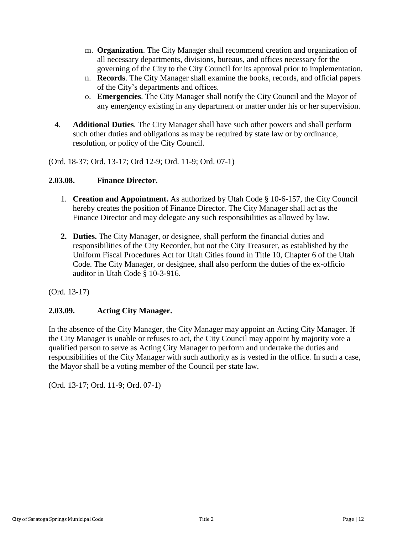- m. **Organization**. The City Manager shall recommend creation and organization of all necessary departments, divisions, bureaus, and offices necessary for the governing of the City to the City Council for its approval prior to implementation.
- n. **Records**. The City Manager shall examine the books, records, and official papers of the City's departments and offices.
- o. **Emergencies**. The City Manager shall notify the City Council and the Mayor of any emergency existing in any department or matter under his or her supervision.
- 4. **Additional Duties**. The City Manager shall have such other powers and shall perform such other duties and obligations as may be required by state law or by ordinance, resolution, or policy of the City Council.

(Ord. 18-37; Ord. 13-17; Ord 12-9; Ord. 11-9; Ord. 07-1)

### <span id="page-11-0"></span>**2.03.08. Finance Director.**

- 1. **Creation and Appointment.** As authorized by Utah Code § 10-6-157, the City Council hereby creates the position of Finance Director. The City Manager shall act as the Finance Director and may delegate any such responsibilities as allowed by law.
- **2. Duties.** The City Manager, or designee, shall perform the financial duties and responsibilities of the City Recorder, but not the City Treasurer, as established by the Uniform Fiscal Procedures Act for Utah Cities found in Title 10, Chapter 6 of the Utah Code. The City Manager, or designee, shall also perform the duties of the ex-officio auditor in Utah Code § 10-3-916.

(Ord. 13-17)

## <span id="page-11-1"></span>**2.03.09. Acting City Manager.**

In the absence of the City Manager, the City Manager may appoint an Acting City Manager. If the City Manager is unable or refuses to act, the City Council may appoint by majority vote a qualified person to serve as Acting City Manager to perform and undertake the duties and responsibilities of the City Manager with such authority as is vested in the office. In such a case, the Mayor shall be a voting member of the Council per state law.

(Ord. 13-17; Ord. 11-9; Ord. 07-1)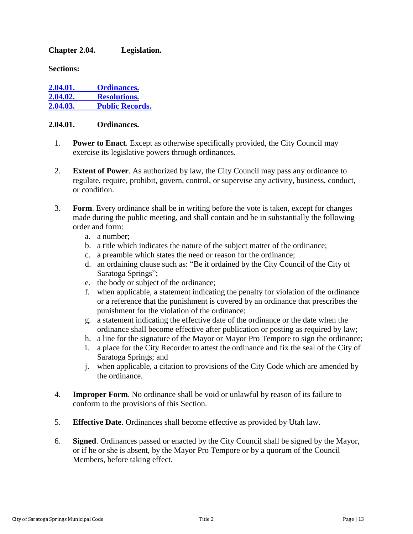### <span id="page-12-0"></span>**Chapter 2.04. Legislation.**

**Sections:**

| 2.04.01. | <b>Ordinances.</b>     |
|----------|------------------------|
| 2.04.02. | <b>Resolutions.</b>    |
| 2.04.03. | <b>Public Records.</b> |

#### <span id="page-12-1"></span>**2.04.01. Ordinances.**

- 1. **Power to Enact**. Except as otherwise specifically provided, the City Council may exercise its legislative powers through ordinances.
- 2. **Extent of Power**. As authorized by law, the City Council may pass any ordinance to regulate, require, prohibit, govern, control, or supervise any activity, business, conduct, or condition.
- 3. **Form**. Every ordinance shall be in writing before the vote is taken, except for changes made during the public meeting, and shall contain and be in substantially the following order and form:
	- a. a number;
	- b. a title which indicates the nature of the subject matter of the ordinance;
	- c. a preamble which states the need or reason for the ordinance;
	- d. an ordaining clause such as: "Be it ordained by the City Council of the City of Saratoga Springs";
	- e. the body or subject of the ordinance;
	- f. when applicable, a statement indicating the penalty for violation of the ordinance or a reference that the punishment is covered by an ordinance that prescribes the punishment for the violation of the ordinance;
	- g. a statement indicating the effective date of the ordinance or the date when the ordinance shall become effective after publication or posting as required by law;
	- h. a line for the signature of the Mayor or Mayor Pro Tempore to sign the ordinance;
	- i. a place for the City Recorder to attest the ordinance and fix the seal of the City of Saratoga Springs; and
	- j. when applicable, a citation to provisions of the City Code which are amended by the ordinance.
- 4. **Improper Form**. No ordinance shall be void or unlawful by reason of its failure to conform to the provisions of this Section.
- 5. **Effective Date**. Ordinances shall become effective as provided by Utah law.
- 6. **Signed**. Ordinances passed or enacted by the City Council shall be signed by the Mayor, or if he or she is absent, by the Mayor Pro Tempore or by a quorum of the Council Members, before taking effect.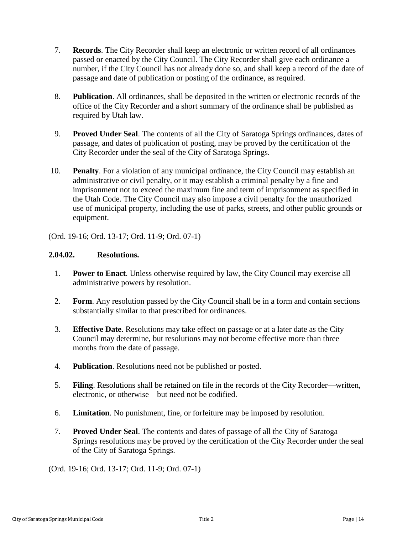- 7. **Records**. The City Recorder shall keep an electronic or written record of all ordinances passed or enacted by the City Council. The City Recorder shall give each ordinance a number, if the City Council has not already done so, and shall keep a record of the date of passage and date of publication or posting of the ordinance, as required.
- 8. **Publication**. All ordinances, shall be deposited in the written or electronic records of the office of the City Recorder and a short summary of the ordinance shall be published as required by Utah law.
- 9. **Proved Under Seal**. The contents of all the City of Saratoga Springs ordinances, dates of passage, and dates of publication of posting, may be proved by the certification of the City Recorder under the seal of the City of Saratoga Springs.
- 10. **Penalty**. For a violation of any municipal ordinance, the City Council may establish an administrative or civil penalty, or it may establish a criminal penalty by a fine and imprisonment not to exceed the maximum fine and term of imprisonment as specified in the Utah Code. The City Council may also impose a civil penalty for the unauthorized use of municipal property, including the use of parks, streets, and other public grounds or equipment.

(Ord. 19-16; Ord. 13-17; Ord. 11-9; Ord. 07-1)

### <span id="page-13-0"></span>**2.04.02. Resolutions.**

- 1. **Power to Enact**. Unless otherwise required by law, the City Council may exercise all administrative powers by resolution.
- 2. **Form**. Any resolution passed by the City Council shall be in a form and contain sections substantially similar to that prescribed for ordinances.
- 3. **Effective Date**. Resolutions may take effect on passage or at a later date as the City Council may determine, but resolutions may not become effective more than three months from the date of passage.
- 4. **Publication**. Resolutions need not be published or posted.
- 5. **Filing**. Resolutions shall be retained on file in the records of the City Recorder—written, electronic, or otherwise—but need not be codified.
- 6. **Limitation**. No punishment, fine, or forfeiture may be imposed by resolution.
- 7. **Proved Under Seal**. The contents and dates of passage of all the City of Saratoga Springs resolutions may be proved by the certification of the City Recorder under the seal of the City of Saratoga Springs.

(Ord. 19-16; Ord. 13-17; Ord. 11-9; Ord. 07-1)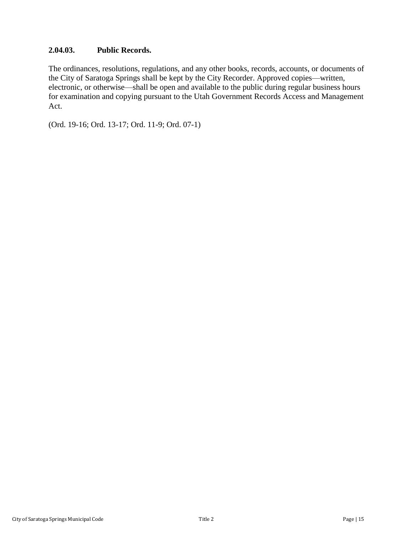## <span id="page-14-0"></span>**2.04.03. Public Records.**

The ordinances, resolutions, regulations, and any other books, records, accounts, or documents of the City of Saratoga Springs shall be kept by the City Recorder. Approved copies—written, electronic, or otherwise—shall be open and available to the public during regular business hours for examination and copying pursuant to the Utah Government Records Access and Management Act.

(Ord. 19-16; Ord. 13-17; Ord. 11-9; Ord. 07-1)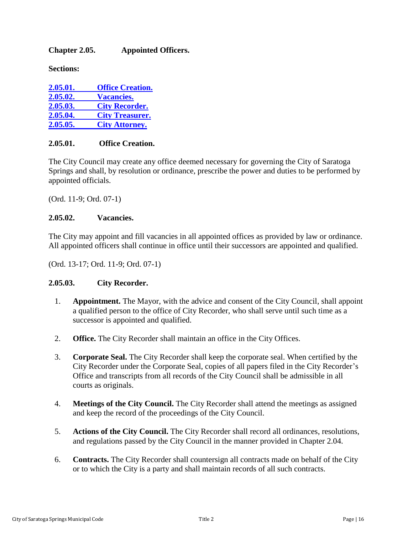## <span id="page-15-0"></span>**Chapter 2.05. Appointed Officers.**

**Sections:**

| 2.05.01. | <b>Office Creation.</b> |
|----------|-------------------------|
| 2.05.02. | <b>Vacancies.</b>       |
| 2.05.03. | <b>City Recorder.</b>   |
| 2.05.04. | <b>City Treasurer.</b>  |
| 2.05.05. | <b>City Attorney.</b>   |

### <span id="page-15-1"></span>**2.05.01. Office Creation.**

The City Council may create any office deemed necessary for governing the City of Saratoga Springs and shall, by resolution or ordinance, prescribe the power and duties to be performed by appointed officials.

(Ord. 11-9; Ord. 07-1)

### <span id="page-15-2"></span>**2.05.02. Vacancies.**

The City may appoint and fill vacancies in all appointed offices as provided by law or ordinance. All appointed officers shall continue in office until their successors are appointed and qualified.

(Ord. 13-17; Ord. 11-9; Ord. 07-1)

## <span id="page-15-3"></span>**2.05.03. City Recorder.**

- 1. **Appointment.** The Mayor, with the advice and consent of the City Council, shall appoint a qualified person to the office of City Recorder, who shall serve until such time as a successor is appointed and qualified.
- 2. **Office.** The City Recorder shall maintain an office in the City Offices.
- 3. **Corporate Seal.** The City Recorder shall keep the corporate seal. When certified by the City Recorder under the Corporate Seal, copies of all papers filed in the City Recorder's Office and transcripts from all records of the City Council shall be admissible in all courts as originals.
- 4. **Meetings of the City Council.** The City Recorder shall attend the meetings as assigned and keep the record of the proceedings of the City Council.
- 5. **Actions of the City Council.** The City Recorder shall record all ordinances, resolutions, and regulations passed by the City Council in the manner provided in Chapter 2.04.
- 6. **Contracts.** The City Recorder shall countersign all contracts made on behalf of the City or to which the City is a party and shall maintain records of all such contracts.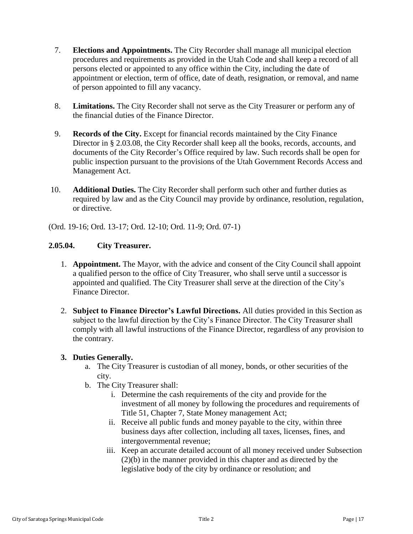- 7. **Elections and Appointments.** The City Recorder shall manage all municipal election procedures and requirements as provided in the Utah Code and shall keep a record of all persons elected or appointed to any office within the City, including the date of appointment or election, term of office, date of death, resignation, or removal, and name of person appointed to fill any vacancy.
- 8. **Limitations.** The City Recorder shall not serve as the City Treasurer or perform any of the financial duties of the Finance Director.
- 9. **Records of the City.** Except for financial records maintained by the City Finance Director in § 2.03.08, the City Recorder shall keep all the books, records, accounts, and documents of the City Recorder's Office required by law. Such records shall be open for public inspection pursuant to the provisions of the Utah Government Records Access and Management Act.
- 10. **Additional Duties.** The City Recorder shall perform such other and further duties as required by law and as the City Council may provide by ordinance, resolution, regulation, or directive.

(Ord. 19-16; Ord. 13-17; Ord. 12-10; Ord. 11-9; Ord. 07-1)

## <span id="page-16-0"></span>**2.05.04. City Treasurer.**

- 1. **Appointment.** The Mayor, with the advice and consent of the City Council shall appoint a qualified person to the office of City Treasurer, who shall serve until a successor is appointed and qualified. The City Treasurer shall serve at the direction of the City's Finance Director.
- 2. **Subject to Finance Director's Lawful Directions.** All duties provided in this Section as subject to the lawful direction by the City's Finance Director. The City Treasurer shall comply with all lawful instructions of the Finance Director, regardless of any provision to the contrary.

#### **3. Duties Generally.**

- a. The City Treasurer is custodian of all money, bonds, or other securities of the city.
- b. The City Treasurer shall:
	- i. Determine the cash requirements of the city and provide for the investment of all money by following the procedures and requirements of Title 51, Chapter 7, State Money management Act;
	- ii. Receive all public funds and money payable to the city, within three business days after collection, including all taxes, licenses, fines, and intergovernmental revenue;
	- iii. Keep an accurate detailed account of all money received under Subsection (2)(b) in the manner provided in this chapter and as directed by the legislative body of the city by ordinance or resolution; and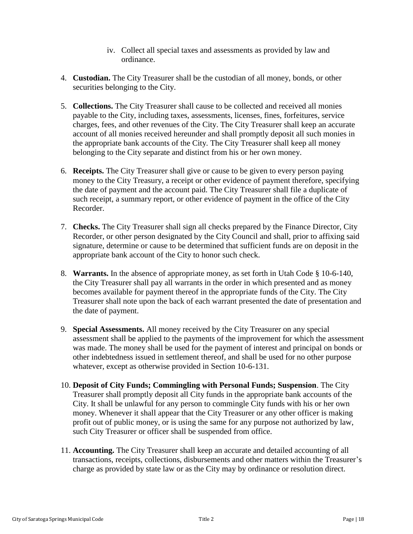- iv. Collect all special taxes and assessments as provided by law and ordinance.
- 4. **Custodian.** The City Treasurer shall be the custodian of all money, bonds, or other securities belonging to the City.
- 5. **Collections.** The City Treasurer shall cause to be collected and received all monies payable to the City, including taxes, assessments, licenses, fines, forfeitures, service charges, fees, and other revenues of the City. The City Treasurer shall keep an accurate account of all monies received hereunder and shall promptly deposit all such monies in the appropriate bank accounts of the City. The City Treasurer shall keep all money belonging to the City separate and distinct from his or her own money.
- 6. **Receipts.** The City Treasurer shall give or cause to be given to every person paying money to the City Treasury, a receipt or other evidence of payment therefore, specifying the date of payment and the account paid. The City Treasurer shall file a duplicate of such receipt, a summary report, or other evidence of payment in the office of the City Recorder.
- 7. **Checks.** The City Treasurer shall sign all checks prepared by the Finance Director, City Recorder, or other person designated by the City Council and shall, prior to affixing said signature, determine or cause to be determined that sufficient funds are on deposit in the appropriate bank account of the City to honor such check.
- 8. **Warrants.** In the absence of appropriate money, as set forth in Utah Code § 10-6-140, the City Treasurer shall pay all warrants in the order in which presented and as money becomes available for payment thereof in the appropriate funds of the City. The City Treasurer shall note upon the back of each warrant presented the date of presentation and the date of payment.
- 9. **Special Assessments.** All money received by the City Treasurer on any special assessment shall be applied to the payments of the improvement for which the assessment was made. The money shall be used for the payment of interest and principal on bonds or other indebtedness issued in settlement thereof, and shall be used for no other purpose whatever, except as otherwise provided in Section 10-6-131.
- 10. **Deposit of City Funds; Commingling with Personal Funds; Suspension**. The City Treasurer shall promptly deposit all City funds in the appropriate bank accounts of the City. It shall be unlawful for any person to commingle City funds with his or her own money. Whenever it shall appear that the City Treasurer or any other officer is making profit out of public money, or is using the same for any purpose not authorized by law, such City Treasurer or officer shall be suspended from office.
- 11. **Accounting.** The City Treasurer shall keep an accurate and detailed accounting of all transactions, receipts, collections, disbursements and other matters within the Treasurer's charge as provided by state law or as the City may by ordinance or resolution direct.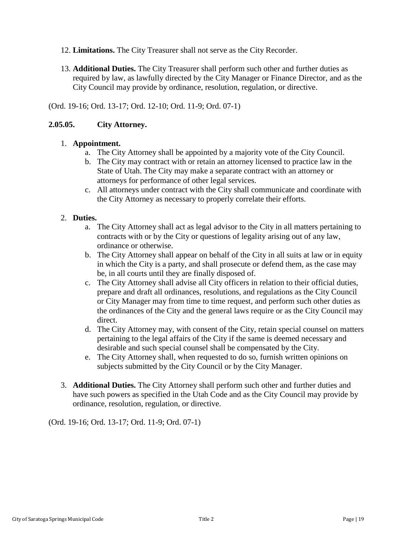- 12. **Limitations.** The City Treasurer shall not serve as the City Recorder.
- 13. **Additional Duties.** The City Treasurer shall perform such other and further duties as required by law, as lawfully directed by the City Manager or Finance Director, and as the City Council may provide by ordinance, resolution, regulation, or directive.

(Ord. 19-16; Ord. 13-17; Ord. 12-10; Ord. 11-9; Ord. 07-1)

### <span id="page-18-0"></span>**2.05.05. City Attorney.**

#### 1. **Appointment.**

- a. The City Attorney shall be appointed by a majority vote of the City Council.
- b. The City may contract with or retain an attorney licensed to practice law in the State of Utah. The City may make a separate contract with an attorney or attorneys for performance of other legal services.
- c. All attorneys under contract with the City shall communicate and coordinate with the City Attorney as necessary to properly correlate their efforts.

### 2. **Duties.**

- a. The City Attorney shall act as legal advisor to the City in all matters pertaining to contracts with or by the City or questions of legality arising out of any law, ordinance or otherwise.
- b. The City Attorney shall appear on behalf of the City in all suits at law or in equity in which the City is a party, and shall prosecute or defend them, as the case may be, in all courts until they are finally disposed of.
- c. The City Attorney shall advise all City officers in relation to their official duties, prepare and draft all ordinances, resolutions, and regulations as the City Council or City Manager may from time to time request, and perform such other duties as the ordinances of the City and the general laws require or as the City Council may direct.
- d. The City Attorney may, with consent of the City, retain special counsel on matters pertaining to the legal affairs of the City if the same is deemed necessary and desirable and such special counsel shall be compensated by the City.
- e. The City Attorney shall, when requested to do so, furnish written opinions on subjects submitted by the City Council or by the City Manager.
- 3. **Additional Duties.** The City Attorney shall perform such other and further duties and have such powers as specified in the Utah Code and as the City Council may provide by ordinance, resolution, regulation, or directive.

(Ord. 19-16; Ord. 13-17; Ord. 11-9; Ord. 07-1)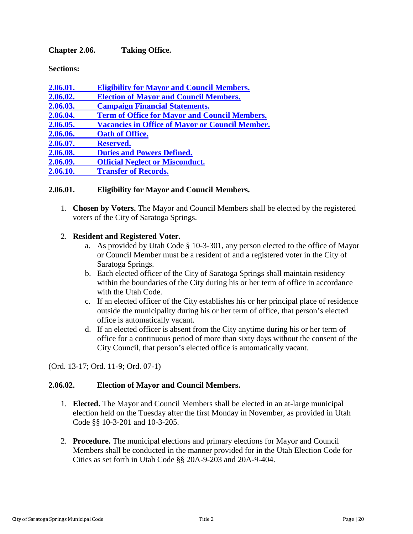<span id="page-19-0"></span>**Chapter 2.06. Taking Office.**

**Sections:**

| 2.06.01. | <b>Eligibility for Mayor and Council Members.</b>      |
|----------|--------------------------------------------------------|
| 2.06.02. | <b>Election of Mayor and Council Members.</b>          |
| 2.06.03. | <b>Campaign Financial Statements.</b>                  |
| 2.06.04. | <b>Term of Office for Mayor and Council Members.</b>   |
| 2.06.05. | <b>Vacancies in Office of Mayor or Council Member.</b> |
| 2.06.06. | <b>Oath of Office.</b>                                 |
| 2.06.07. | <b>Reserved.</b>                                       |
| 2.06.08. | <b>Duties and Powers Defined.</b>                      |
| 2.06.09. | <b>Official Neglect or Misconduct.</b>                 |
| 2.06.10. | <b>Transfer of Records.</b>                            |
|          |                                                        |

#### <span id="page-19-1"></span>**2.06.01. Eligibility for Mayor and Council Members.**

1. **Chosen by Voters.** The Mayor and Council Members shall be elected by the registered voters of the City of Saratoga Springs.

#### 2. **Resident and Registered Voter.**

- a. As provided by Utah Code § 10-3-301, any person elected to the office of Mayor or Council Member must be a resident of and a registered voter in the City of Saratoga Springs.
- b. Each elected officer of the City of Saratoga Springs shall maintain residency within the boundaries of the City during his or her term of office in accordance with the Utah Code.
- c. If an elected officer of the City establishes his or her principal place of residence outside the municipality during his or her term of office, that person's elected office is automatically vacant.
- d. If an elected officer is absent from the City anytime during his or her term of office for a continuous period of more than sixty days without the consent of the City Council, that person's elected office is automatically vacant.

(Ord. 13-17; Ord. 11-9; Ord. 07-1)

#### <span id="page-19-2"></span>**2.06.02. Election of Mayor and Council Members.**

- 1. **Elected.** The Mayor and Council Members shall be elected in an at-large municipal election held on the Tuesday after the first Monday in November, as provided in Utah Code §§ 10-3-201 and 10-3-205.
- 2. **Procedure.** The municipal elections and primary elections for Mayor and Council Members shall be conducted in the manner provided for in the Utah Election Code for Cities as set forth in Utah Code §§ 20A-9-203 and 20A-9-404.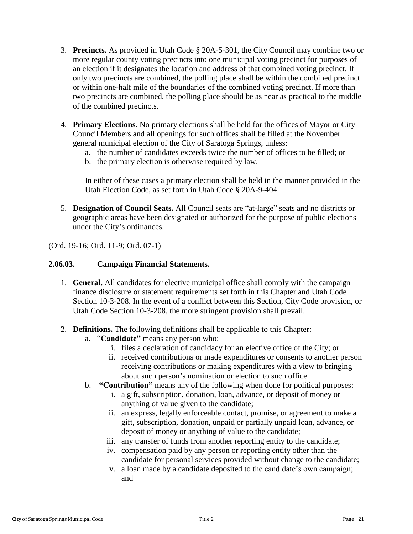- 3. **Precincts.** As provided in Utah Code § 20A-5-301, the City Council may combine two or more regular county voting precincts into one municipal voting precinct for purposes of an election if it designates the location and address of that combined voting precinct. If only two precincts are combined, the polling place shall be within the combined precinct or within one-half mile of the boundaries of the combined voting precinct. If more than two precincts are combined, the polling place should be as near as practical to the middle of the combined precincts.
- 4. **Primary Elections.** No primary elections shall be held for the offices of Mayor or City Council Members and all openings for such offices shall be filled at the November general municipal election of the City of Saratoga Springs, unless:
	- a. the number of candidates exceeds twice the number of offices to be filled; or
	- b. the primary election is otherwise required by law.

In either of these cases a primary election shall be held in the manner provided in the Utah Election Code, as set forth in Utah Code § 20A-9-404.

5. **Designation of Council Seats.** All Council seats are "at-large" seats and no districts or geographic areas have been designated or authorized for the purpose of public elections under the City's ordinances.

(Ord. 19-16; Ord. 11-9; Ord. 07-1)

#### <span id="page-20-0"></span>**2.06.03. Campaign Financial Statements.**

- 1. **General.** All candidates for elective municipal office shall comply with the campaign finance disclosure or statement requirements set forth in this Chapter and Utah Code Section 10-3-208. In the event of a conflict between this Section, City Code provision, or Utah Code Section 10-3-208, the more stringent provision shall prevail.
- 2. **Definitions.** The following definitions shall be applicable to this Chapter:
	- a. "**Candidate"** means any person who:
		- i. files a declaration of candidacy for an elective office of the City; or
		- ii. received contributions or made expenditures or consents to another person receiving contributions or making expenditures with a view to bringing about such person's nomination or election to such office.
	- b. **"Contribution"** means any of the following when done for political purposes:
		- i. a gift, subscription, donation, loan, advance, or deposit of money or anything of value given to the candidate;
		- ii. an express, legally enforceable contact, promise, or agreement to make a gift, subscription, donation, unpaid or partially unpaid loan, advance, or deposit of money or anything of value to the candidate;
		- iii. any transfer of funds from another reporting entity to the candidate;
		- iv. compensation paid by any person or reporting entity other than the candidate for personal services provided without change to the candidate;
		- v. a loan made by a candidate deposited to the candidate's own campaign; and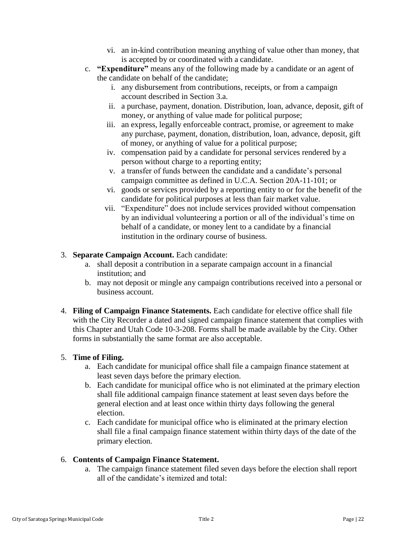- vi. an in-kind contribution meaning anything of value other than money, that is accepted by or coordinated with a candidate.
- c. **"Expenditure"** means any of the following made by a candidate or an agent of the candidate on behalf of the candidate;
	- i. any disbursement from contributions, receipts, or from a campaign account described in Section 3.a.
	- ii. a purchase, payment, donation. Distribution, loan, advance, deposit, gift of money, or anything of value made for political purpose;
	- iii. an express, legally enforceable contract, promise, or agreement to make any purchase, payment, donation, distribution, loan, advance, deposit, gift of money, or anything of value for a political purpose;
	- iv. compensation paid by a candidate for personal services rendered by a person without charge to a reporting entity;
	- v. a transfer of funds between the candidate and a candidate's personal campaign committee as defined in U.C.A. Section 20A-11-101; or
	- vi. goods or services provided by a reporting entity to or for the benefit of the candidate for political purposes at less than fair market value.
	- vii. "Expenditure" does not include services provided without compensation by an individual volunteering a portion or all of the individual's time on behalf of a candidate, or money lent to a candidate by a financial institution in the ordinary course of business.

## 3. **Separate Campaign Account.** Each candidate:

- a. shall deposit a contribution in a separate campaign account in a financial institution; and
- b. may not deposit or mingle any campaign contributions received into a personal or business account.
- 4. **Filing of Campaign Finance Statements.** Each candidate for elective office shall file with the City Recorder a dated and signed campaign finance statement that complies with this Chapter and Utah Code 10-3-208. Forms shall be made available by the City. Other forms in substantially the same format are also acceptable.

## 5. **Time of Filing.**

- a. Each candidate for municipal office shall file a campaign finance statement at least seven days before the primary election.
- b. Each candidate for municipal office who is not eliminated at the primary election shall file additional campaign finance statement at least seven days before the general election and at least once within thirty days following the general election.
- c. Each candidate for municipal office who is eliminated at the primary election shall file a final campaign finance statement within thirty days of the date of the primary election.

# 6. **Contents of Campaign Finance Statement.**

a. The campaign finance statement filed seven days before the election shall report all of the candidate's itemized and total: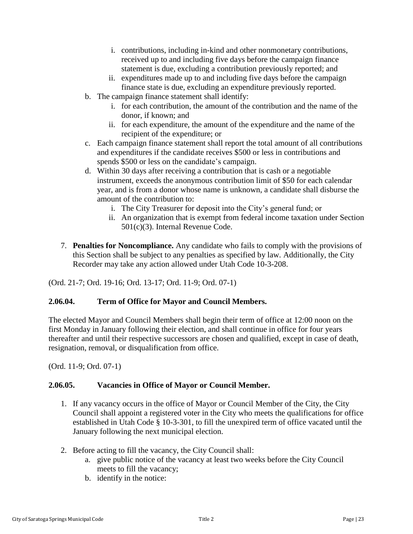- i. contributions, including in-kind and other nonmonetary contributions, received up to and including five days before the campaign finance statement is due, excluding a contribution previously reported; and
- ii. expenditures made up to and including five days before the campaign finance state is due, excluding an expenditure previously reported.
- b. The campaign finance statement shall identify:
	- i. for each contribution, the amount of the contribution and the name of the donor, if known; and
	- ii. for each expenditure, the amount of the expenditure and the name of the recipient of the expenditure; or
- c. Each campaign finance statement shall report the total amount of all contributions and expenditures if the candidate receives \$500 or less in contributions and spends \$500 or less on the candidate's campaign.
- d. Within 30 days after receiving a contribution that is cash or a negotiable instrument, exceeds the anonymous contribution limit of \$50 for each calendar year, and is from a donor whose name is unknown, a candidate shall disburse the amount of the contribution to:
	- i. The City Treasurer for deposit into the City's general fund; or
	- ii. An organization that is exempt from federal income taxation under Section 501(c)(3). Internal Revenue Code.
- 7. **Penalties for Noncompliance.** Any candidate who fails to comply with the provisions of this Section shall be subject to any penalties as specified by law. Additionally, the City Recorder may take any action allowed under Utah Code 10-3-208.

(Ord. 21-7; Ord. 19-16; Ord. 13-17; Ord. 11-9; Ord. 07-1)

## <span id="page-22-0"></span>**2.06.04. Term of Office for Mayor and Council Members.**

The elected Mayor and Council Members shall begin their term of office at 12:00 noon on the first Monday in January following their election, and shall continue in office for four years thereafter and until their respective successors are chosen and qualified, except in case of death, resignation, removal, or disqualification from office.

(Ord. 11-9; Ord. 07-1)

## <span id="page-22-1"></span>**2.06.05. Vacancies in Office of Mayor or Council Member.**

- 1. If any vacancy occurs in the office of Mayor or Council Member of the City, the City Council shall appoint a registered voter in the City who meets the qualifications for office established in Utah Code § 10-3-301, to fill the unexpired term of office vacated until the January following the next municipal election.
- 2. Before acting to fill the vacancy, the City Council shall:
	- a. give public notice of the vacancy at least two weeks before the City Council meets to fill the vacancy;
	- b. identify in the notice: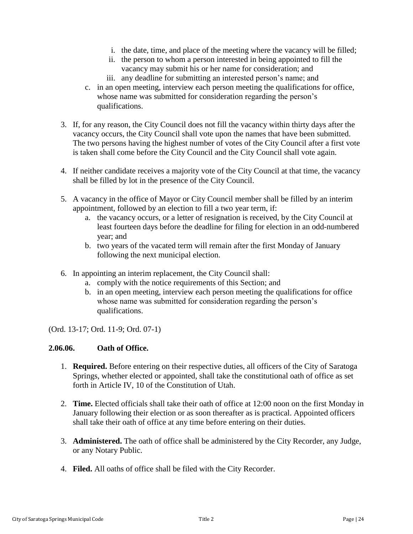- i. the date, time, and place of the meeting where the vacancy will be filled;
- ii. the person to whom a person interested in being appointed to fill the vacancy may submit his or her name for consideration; and
- iii. any deadline for submitting an interested person's name; and
- c. in an open meeting, interview each person meeting the qualifications for office, whose name was submitted for consideration regarding the person's qualifications.
- 3. If, for any reason, the City Council does not fill the vacancy within thirty days after the vacancy occurs, the City Council shall vote upon the names that have been submitted. The two persons having the highest number of votes of the City Council after a first vote is taken shall come before the City Council and the City Council shall vote again.
- 4. If neither candidate receives a majority vote of the City Council at that time, the vacancy shall be filled by lot in the presence of the City Council.
- 5. A vacancy in the office of Mayor or City Council member shall be filled by an interim appointment, followed by an election to fill a two year term, if:
	- a. the vacancy occurs, or a letter of resignation is received, by the City Council at least fourteen days before the deadline for filing for election in an odd-numbered year; and
	- b. two years of the vacated term will remain after the first Monday of January following the next municipal election.
- 6. In appointing an interim replacement, the City Council shall:
	- a. comply with the notice requirements of this Section; and
	- b. in an open meeting, interview each person meeting the qualifications for office whose name was submitted for consideration regarding the person's qualifications.

(Ord. 13-17; Ord. 11-9; Ord. 07-1)

#### <span id="page-23-0"></span>**2.06.06. Oath of Office.**

- 1. **Required.** Before entering on their respective duties, all officers of the City of Saratoga Springs, whether elected or appointed, shall take the constitutional oath of office as set forth in Article IV, 10 of the Constitution of Utah.
- 2. **Time.** Elected officials shall take their oath of office at 12:00 noon on the first Monday in January following their election or as soon thereafter as is practical. Appointed officers shall take their oath of office at any time before entering on their duties.
- 3. **Administered.** The oath of office shall be administered by the City Recorder, any Judge, or any Notary Public.
- 4. **Filed.** All oaths of office shall be filed with the City Recorder.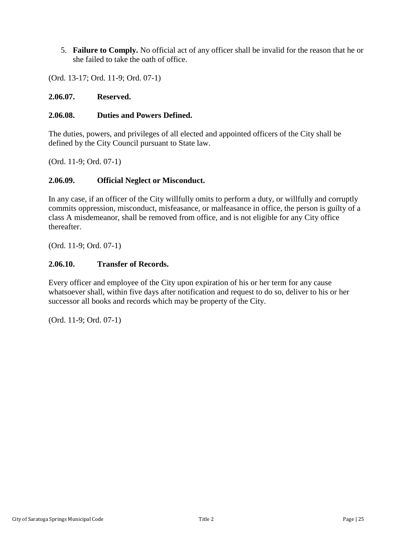5. **Failure to Comply.** No official act of any officer shall be invalid for the reason that he or she failed to take the oath of office.

(Ord. 13-17; Ord. 11-9; Ord. 07-1)

### <span id="page-24-0"></span>**2.06.07. Reserved.**

### <span id="page-24-1"></span>**2.06.08. Duties and Powers Defined.**

The duties, powers, and privileges of all elected and appointed officers of the City shall be defined by the City Council pursuant to State law.

(Ord. 11-9; Ord. 07-1)

## <span id="page-24-2"></span>**2.06.09. Official Neglect or Misconduct.**

In any case, if an officer of the City willfully omits to perform a duty, or willfully and corruptly commits oppression, misconduct, misfeasance, or malfeasance in office, the person is guilty of a class A misdemeanor, shall be removed from office, and is not eligible for any City office thereafter.

(Ord. 11-9; Ord. 07-1)

### <span id="page-24-3"></span>**2.06.10. Transfer of Records.**

Every officer and employee of the City upon expiration of his or her term for any cause whatsoever shall, within five days after notification and request to do so, deliver to his or her successor all books and records which may be property of the City.

(Ord. 11-9; Ord. 07-1)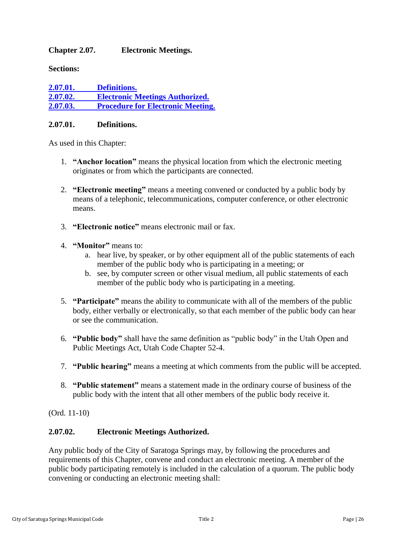### <span id="page-25-0"></span>**Chapter 2.07. Electronic Meetings.**

**Sections:**

| 2.07.01. | <b>Definitions.</b>                      |
|----------|------------------------------------------|
| 2.07.02. | <b>Electronic Meetings Authorized.</b>   |
| 2.07.03. | <b>Procedure for Electronic Meeting.</b> |

#### <span id="page-25-1"></span>**2.07.01. Definitions.**

As used in this Chapter:

- 1. **"Anchor location"** means the physical location from which the electronic meeting originates or from which the participants are connected.
- 2. **"Electronic meeting"** means a meeting convened or conducted by a public body by means of a telephonic, telecommunications, computer conference, or other electronic means.
- 3. **"Electronic notice"** means electronic mail or fax.
- 4. **"Monitor"** means to:
	- a. hear live, by speaker, or by other equipment all of the public statements of each member of the public body who is participating in a meeting; or
	- b. see, by computer screen or other visual medium, all public statements of each member of the public body who is participating in a meeting.
- 5. **"Participate"** means the ability to communicate with all of the members of the public body, either verbally or electronically, so that each member of the public body can hear or see the communication.
- 6. **"Public body"** shall have the same definition as "public body" in the Utah Open and Public Meetings Act, Utah Code Chapter 52-4.
- 7. **"Public hearing"** means a meeting at which comments from the public will be accepted.
- 8. **"Public statement"** means a statement made in the ordinary course of business of the public body with the intent that all other members of the public body receive it.

(Ord. 11-10)

## <span id="page-25-2"></span>**2.07.02. Electronic Meetings Authorized.**

Any public body of the City of Saratoga Springs may, by following the procedures and requirements of this Chapter, convene and conduct an electronic meeting. A member of the public body participating remotely is included in the calculation of a quorum. The public body convening or conducting an electronic meeting shall: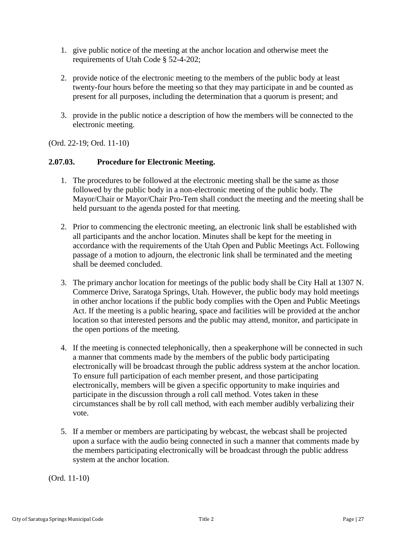- 1. give public notice of the meeting at the anchor location and otherwise meet the requirements of Utah Code § 52-4-202;
- 2. provide notice of the electronic meeting to the members of the public body at least twenty-four hours before the meeting so that they may participate in and be counted as present for all purposes, including the determination that a quorum is present; and
- 3. provide in the public notice a description of how the members will be connected to the electronic meeting.

(Ord. 22-19; Ord. 11-10)

### <span id="page-26-0"></span>**2.07.03. Procedure for Electronic Meeting.**

- 1. The procedures to be followed at the electronic meeting shall be the same as those followed by the public body in a non-electronic meeting of the public body. The Mayor/Chair or Mayor/Chair Pro-Tem shall conduct the meeting and the meeting shall be held pursuant to the agenda posted for that meeting.
- 2. Prior to commencing the electronic meeting, an electronic link shall be established with all participants and the anchor location. Minutes shall be kept for the meeting in accordance with the requirements of the Utah Open and Public Meetings Act. Following passage of a motion to adjourn, the electronic link shall be terminated and the meeting shall be deemed concluded.
- 3. The primary anchor location for meetings of the public body shall be City Hall at 1307 N. Commerce Drive, Saratoga Springs, Utah. However, the public body may hold meetings in other anchor locations if the public body complies with the Open and Public Meetings Act. If the meeting is a public hearing, space and facilities will be provided at the anchor location so that interested persons and the public may attend, monitor, and participate in the open portions of the meeting.
- 4. If the meeting is connected telephonically, then a speakerphone will be connected in such a manner that comments made by the members of the public body participating electronically will be broadcast through the public address system at the anchor location. To ensure full participation of each member present, and those participating electronically, members will be given a specific opportunity to make inquiries and participate in the discussion through a roll call method. Votes taken in these circumstances shall be by roll call method, with each member audibly verbalizing their vote.
- 5. If a member or members are participating by webcast, the webcast shall be projected upon a surface with the audio being connected in such a manner that comments made by the members participating electronically will be broadcast through the public address system at the anchor location.

(Ord. 11-10)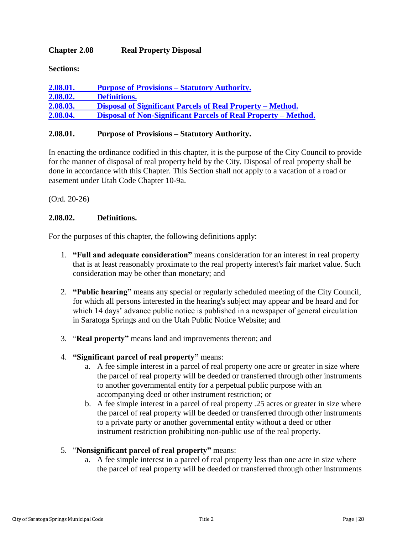### <span id="page-27-0"></span>**Chapter 2.08 Real Property Disposal**

**Sections:**

| 2.08.01. | <b>Purpose of Provisions – Statutory Authority.</b>            |
|----------|----------------------------------------------------------------|
| 2.08.02. | <b>Definitions.</b>                                            |
| 2.08.03. | Disposal of Significant Parcels of Real Property – Method.     |
| 2.08.04. | Disposal of Non-Significant Parcels of Real Property – Method. |

#### <span id="page-27-1"></span>**2.08.01. Purpose of Provisions – Statutory Authority.**

In enacting the ordinance codified in this chapter, it is the purpose of the City Council to provide for the manner of disposal of real property held by the City. Disposal of real property shall be done in accordance with this Chapter. This Section shall not apply to a vacation of a road or easement under Utah Code Chapter 10-9a.

(Ord. 20-26)

### <span id="page-27-2"></span>**2.08.02. Definitions.**

For the purposes of this chapter, the following definitions apply:

- 1. **"Full and adequate consideration"** means consideration for an interest in real property that is at least reasonably proximate to the real property interest's fair market value. Such consideration may be other than monetary; and
- 2. **"Public hearing"** means any special or regularly scheduled meeting of the City Council, for which all persons interested in the hearing's subject may appear and be heard and for which 14 days' advance public notice is published in a newspaper of general circulation in Saratoga Springs and on the Utah Public Notice Website; and
- 3. "**Real property"** means land and improvements thereon; and
- 4. **"Significant parcel of real property"** means:
	- a. A fee simple interest in a parcel of real property one acre or greater in size where the parcel of real property will be deeded or transferred through other instruments to another governmental entity for a perpetual public purpose with an accompanying deed or other instrument restriction; or
	- b. A fee simple interest in a parcel of real property .25 acres or greater in size where the parcel of real property will be deeded or transferred through other instruments to a private party or another governmental entity without a deed or other instrument restriction prohibiting non-public use of the real property.
- 5. "**Nonsignificant parcel of real property"** means:
	- a. A fee simple interest in a parcel of real property less than one acre in size where the parcel of real property will be deeded or transferred through other instruments